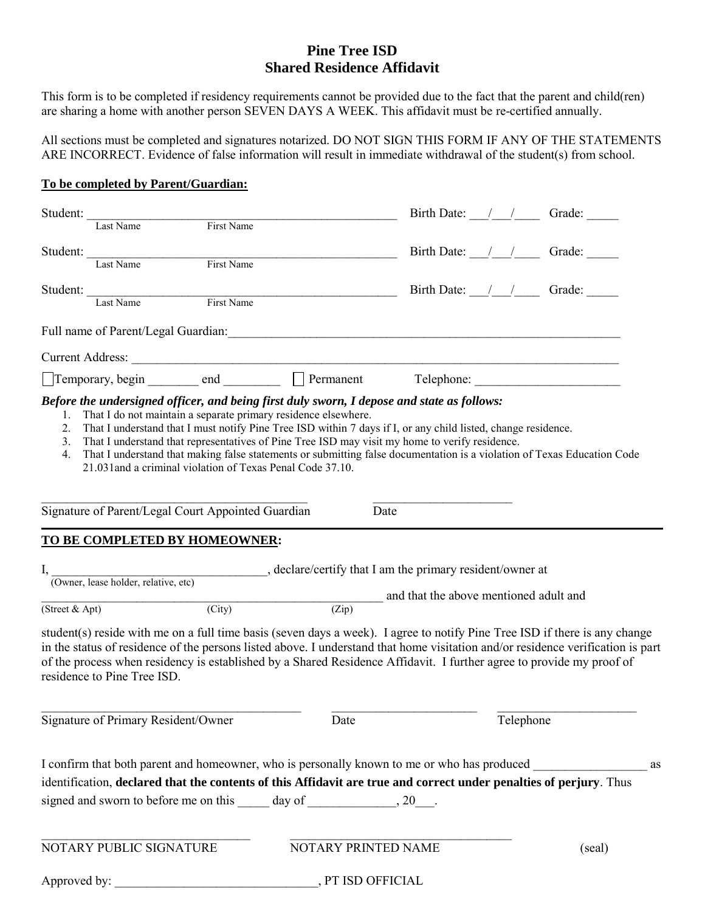## **Pine Tree ISD Shared Residence Affidavit**

This form is to be completed if residency requirements cannot be provided due to the fact that the parent and child(ren) are sharing a home with another person SEVEN DAYS A WEEK. This affidavit must be re-certified annually.

All sections must be completed and signatures notarized. DO NOT SIGN THIS FORM IF ANY OF THE STATEMENTS ARE INCORRECT. Evidence of false information will result in immediate withdrawal of the student(s) from school.

#### **To be completed by Parent/Guardian:**

| Student:                                           |                                                                                                                                           |                     | Birth Date: / / Grade:                                                                                                                                                                                                                                                                                                                                                                |        |  |  |
|----------------------------------------------------|-------------------------------------------------------------------------------------------------------------------------------------------|---------------------|---------------------------------------------------------------------------------------------------------------------------------------------------------------------------------------------------------------------------------------------------------------------------------------------------------------------------------------------------------------------------------------|--------|--|--|
| Last Name                                          | First Name                                                                                                                                |                     |                                                                                                                                                                                                                                                                                                                                                                                       |        |  |  |
| Student:                                           |                                                                                                                                           |                     | Birth Date: $\frac{1}{\sqrt{2}}$ Grade:                                                                                                                                                                                                                                                                                                                                               |        |  |  |
| Last Name                                          | First Name                                                                                                                                |                     |                                                                                                                                                                                                                                                                                                                                                                                       |        |  |  |
| Student: Last Name                                 |                                                                                                                                           |                     | Birth Date: $\angle$ / Grade:                                                                                                                                                                                                                                                                                                                                                         |        |  |  |
|                                                    | First Name                                                                                                                                |                     |                                                                                                                                                                                                                                                                                                                                                                                       |        |  |  |
|                                                    |                                                                                                                                           |                     | Full name of Parent/Legal Guardian: 1999 March 2014 1999 March 2014 1999 March 2014 1999 March 2014 1999 March 2014 1999 March 2014 1999 March 2014 1999 March 2014 1999 March 2014 1999 March 2014 1999 March 2014 1999 March                                                                                                                                                        |        |  |  |
|                                                    |                                                                                                                                           |                     |                                                                                                                                                                                                                                                                                                                                                                                       |        |  |  |
|                                                    |                                                                                                                                           |                     | Temporary, begin _______ end _________ D Permanent Telephone: ___________________                                                                                                                                                                                                                                                                                                     |        |  |  |
| 2.<br>3.<br>4.                                     | 21.031 and a criminal violation of Texas Penal Code 37.10.                                                                                |                     | That I understand that I must notify Pine Tree ISD within 7 days if I, or any child listed, change residence.<br>That I understand that representatives of Pine Tree ISD may visit my home to verify residence.<br>That I understand that making false statements or submitting false documentation is a violation of Texas Education Code                                            |        |  |  |
| Signature of Parent/Legal Court Appointed Guardian |                                                                                                                                           | Date                |                                                                                                                                                                                                                                                                                                                                                                                       |        |  |  |
| TO BE COMPLETED BY HOMEOWNER:                      |                                                                                                                                           |                     |                                                                                                                                                                                                                                                                                                                                                                                       |        |  |  |
|                                                    |                                                                                                                                           |                     |                                                                                                                                                                                                                                                                                                                                                                                       |        |  |  |
|                                                    |                                                                                                                                           |                     |                                                                                                                                                                                                                                                                                                                                                                                       |        |  |  |
|                                                    | I, COWner, lease holder, relative, etc) declare/certify that I am the primary resident/owner at<br>and that the above mentioned adult and |                     |                                                                                                                                                                                                                                                                                                                                                                                       |        |  |  |
| (Street & Apt)                                     | $\overline{(City)}$                                                                                                                       | (Zip)               |                                                                                                                                                                                                                                                                                                                                                                                       |        |  |  |
| residence to Pine Tree ISD.                        |                                                                                                                                           |                     | student(s) reside with me on a full time basis (seven days a week). I agree to notify Pine Tree ISD if there is any change<br>in the status of residence of the persons listed above. I understand that home visitation and/or residence verification is part<br>of the process when residency is established by a Shared Residence Affidavit. I further agree to provide my proof of |        |  |  |
| Signature of Primary Resident/Owner                |                                                                                                                                           | Date                | Telephone                                                                                                                                                                                                                                                                                                                                                                             |        |  |  |
|                                                    |                                                                                                                                           |                     | I confirm that both parent and homeowner, who is personally known to me or who has produced<br>identification, declared that the contents of this Affidavit are true and correct under penalties of perjury. Thus                                                                                                                                                                     | as     |  |  |
| NOTARY PUBLIC SIGNATURE                            |                                                                                                                                           | NOTARY PRINTED NAME |                                                                                                                                                                                                                                                                                                                                                                                       | (seal) |  |  |
| , PT ISD OFFICIAL                                  |                                                                                                                                           |                     |                                                                                                                                                                                                                                                                                                                                                                                       |        |  |  |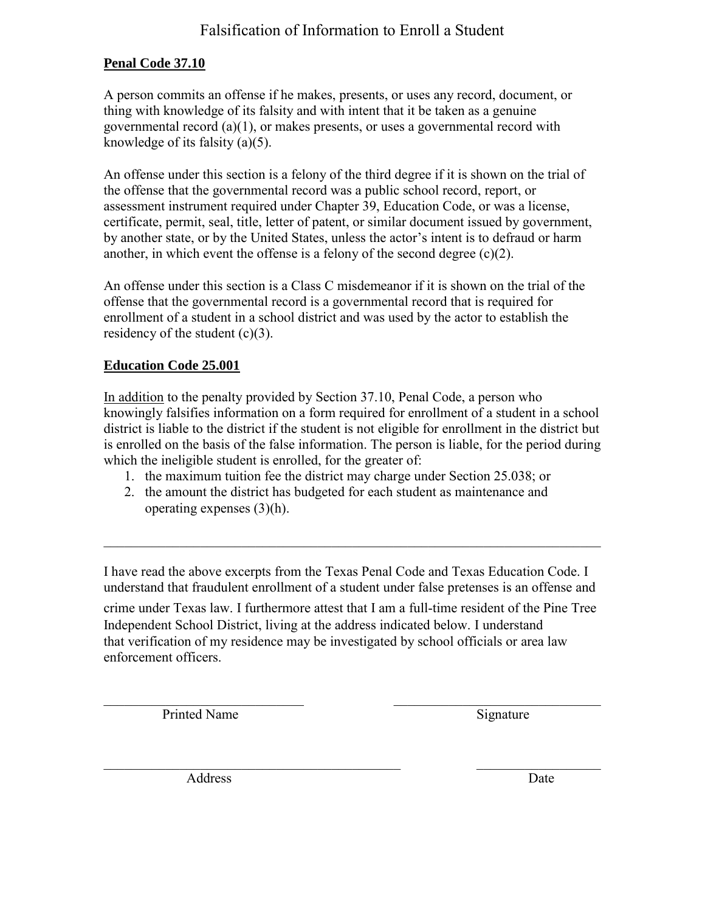## Falsification of Information to Enroll a Student

## **Penal Code 37.10**

A person commits an offense if he makes, presents, or uses any record, document, or thing with knowledge of its falsity and with intent that it be taken as a genuine governmental record (a)(1), or makes presents, or uses a governmental record with knowledge of its falsity (a)(5).

An offense under this section is a felony of the third degree if it is shown on the trial of the offense that the governmental record was a public school record, report, or assessment instrument required under Chapter 39, Education Code, or was a license, certificate, permit, seal, title, letter of patent, or similar document issued by government, by another state, or by the United States, unless the actor's intent is to defraud or harm another, in which event the offense is a felony of the second degree  $(c)(2)$ .

An offense under this section is a Class C misdemeanor if it is shown on the trial of the offense that the governmental record is a governmental record that is required for enrollment of a student in a school district and was used by the actor to establish the residency of the student  $(c)(3)$ .

### **Education Code 25.001**

In addition to the penalty provided by Section 37.10, Penal Code, a person who knowingly falsifies information on a form required for enrollment of a student in a school district is liable to the district if the student is not eligible for enrollment in the district but is enrolled on the basis of the false information. The person is liable, for the period during which the ineligible student is enrolled, for the greater of:

- 1. the maximum tuition fee the district may charge under Section 25.038; or
- 2. the amount the district has budgeted for each student as maintenance and operating expenses (3)(h).

I have read the above excerpts from the Texas Penal Code and Texas Education Code. I understand that fraudulent enrollment of a student under false pretenses is an offense and crime under Texas law. I furthermore attest that I am a full-time resident of the Pine Tree Independent School District, living at the address indicated below. I understand that verification of my residence may be investigated by school officials or area law enforcement officers.

 $\overline{\phantom{a}}$  , and the contribution of the contribution of the contribution of the contribution of the contribution of the contribution of the contribution of the contribution of the contribution of the contribution of the

 $\mathcal{L}_\text{max}$  , and the contribution of the contribution of the contribution of the contribution of the contribution of the contribution of the contribution of the contribution of the contribution of the contribution of t

 $\mathcal{L}_\text{max} = \mathcal{L}_\text{max} = \mathcal{L}_\text{max} = \mathcal{L}_\text{max} = \mathcal{L}_\text{max} = \mathcal{L}_\text{max} = \mathcal{L}_\text{max} = \mathcal{L}_\text{max} = \mathcal{L}_\text{max} = \mathcal{L}_\text{max} = \mathcal{L}_\text{max} = \mathcal{L}_\text{max} = \mathcal{L}_\text{max} = \mathcal{L}_\text{max} = \mathcal{L}_\text{max} = \mathcal{L}_\text{max} = \mathcal{L}_\text{max} = \mathcal{L}_\text{max} = \mathcal{$ 

Printed Name Signature

Address Date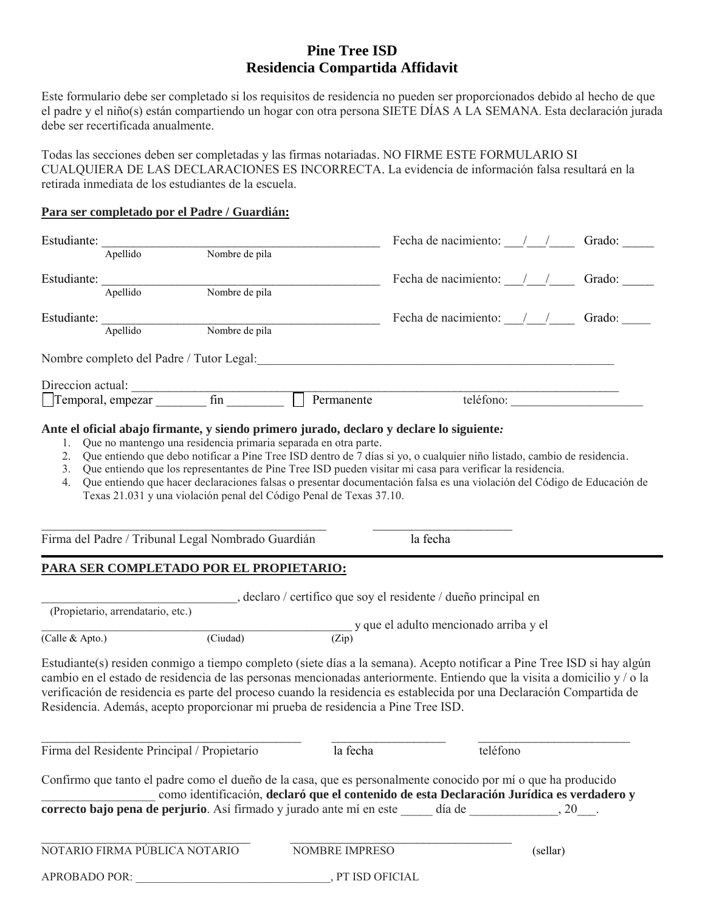## **Pine Tree ISD Residencia Compartida Affidavit**

Este formulario debe ser completado si los requisitos de residencia no pueden ser proporcionados debido al hecho de que el padre y el niño(s) están compartiendo un hogar con otra persona SIETE DÍAS A LA SEMANA. Esta declaración jurada debe ser recertificada anualmente.

Todas las secciones deben ser completadas y las firmas notariadas. NO FIRME ESTE FORMULARIO SI CUALQUIERA DE LAS DECLARACIONES ES INCORRECTA. La evidencia de información falsa resultará en la retirada inmediata de los estudiantes de la escuela.

#### **Para ser completado por el Padre / Guardián:**

| Estudiante:          | Apellido                                           | Nombre de pila        |                                                                                                                                                                                                                                                                                                                                                                                                                                                                 | Fecha de nacimiento: $\frac{1}{1}$ $\frac{1}{1}$ Grado: |           |  |
|----------------------|----------------------------------------------------|-----------------------|-----------------------------------------------------------------------------------------------------------------------------------------------------------------------------------------------------------------------------------------------------------------------------------------------------------------------------------------------------------------------------------------------------------------------------------------------------------------|---------------------------------------------------------|-----------|--|
|                      |                                                    |                       |                                                                                                                                                                                                                                                                                                                                                                                                                                                                 |                                                         |           |  |
|                      | Estudiante: Apellido                               | Nombre de pila        |                                                                                                                                                                                                                                                                                                                                                                                                                                                                 | Fecha de nacimiento: $\frac{1}{1}$ $\frac{1}{1}$ Grado: |           |  |
|                      |                                                    |                       |                                                                                                                                                                                                                                                                                                                                                                                                                                                                 | Fecha de nacimiento: $\frac{1}{2}$ Grado:               |           |  |
| Estudiante: Apellido |                                                    | Nombre de pila        |                                                                                                                                                                                                                                                                                                                                                                                                                                                                 |                                                         |           |  |
|                      |                                                    |                       | Nombre completo del Padre / Tutor Legal: entrante del Padre / Tutor Legal:                                                                                                                                                                                                                                                                                                                                                                                      |                                                         |           |  |
|                      |                                                    |                       |                                                                                                                                                                                                                                                                                                                                                                                                                                                                 |                                                         |           |  |
|                      |                                                    |                       |                                                                                                                                                                                                                                                                                                                                                                                                                                                                 |                                                         | teléfono: |  |
| 4.                   |                                                    |                       | 2. Que entiendo que debo notificar a Pine Tree ISD dentro de 7 días si yo, o cualquier niño listado, cambio de residencia.<br>3. Que entiendo que los representantes de Pine Tree ISD pueden visitar mi casa para verificar la residencia.<br>Que entiendo que hacer declaraciones falsas o presentar documentación falsa es una violación del Código de Educación de<br>Texas 21.031 y una violación penal del Código Penal de Texas 37.10.                    |                                                         |           |  |
|                      | Firma del Padre / Tribunal Legal Nombrado Guardián |                       |                                                                                                                                                                                                                                                                                                                                                                                                                                                                 | la fecha                                                |           |  |
|                      | PARA SER COMPLETADO POR EL PROPIETARIO:            |                       |                                                                                                                                                                                                                                                                                                                                                                                                                                                                 |                                                         |           |  |
|                      |                                                    |                       | declaro / certifico que soy el residente / dueño principal en                                                                                                                                                                                                                                                                                                                                                                                                   |                                                         |           |  |
|                      | (Propietario, arrendatario, etc.)                  |                       |                                                                                                                                                                                                                                                                                                                                                                                                                                                                 |                                                         |           |  |
|                      |                                                    |                       |                                                                                                                                                                                                                                                                                                                                                                                                                                                                 | $\frac{1}{2}$ y que el adulto mencionado arriba y el    |           |  |
| (Calle & Apto.)      |                                                    | $\overline{(Ciudad)}$ |                                                                                                                                                                                                                                                                                                                                                                                                                                                                 |                                                         |           |  |
|                      |                                                    |                       | Estudiante (s) residen conmigo a tiempo completo (siete días a la semana). Acepto notificar a Pine Tree ISD si hay algún<br>cambio en el estado de residencia de las personas mencionadas anteriormente. Entiendo que la visita a domicilio y/o la<br>verificación de residencia es parte del proceso cuando la residencia es establecida por una Declaración Compartida de<br>Residencia. Además, acepto proporcionar mi prueba de residencia a Pine Tree ISD. |                                                         |           |  |
|                      | Firma del Residente Principal / Propietario        |                       | la fecha                                                                                                                                                                                                                                                                                                                                                                                                                                                        |                                                         | teléfono  |  |
|                      |                                                    |                       | Confirmo que tanto el padre como el dueño de la casa, que es personalmente conocido por mío que ha producido<br>como identificación, declaró que el contenido de esta Declaración Jurídica es verdadero y                                                                                                                                                                                                                                                       |                                                         |           |  |
|                      |                                                    |                       | correcto bajo pena de perjurio. Así firmado y jurado ante mí en este _____ día de _____________, 20___.                                                                                                                                                                                                                                                                                                                                                         |                                                         |           |  |
|                      | NOTARIO FIRMA PÚBLICA NOTARIO                      |                       | NOMBRE IMPRESO                                                                                                                                                                                                                                                                                                                                                                                                                                                  |                                                         | (sellar)  |  |
| <b>APROBADO POR:</b> |                                                    |                       | , PT ISD OFICIAL                                                                                                                                                                                                                                                                                                                                                                                                                                                |                                                         |           |  |